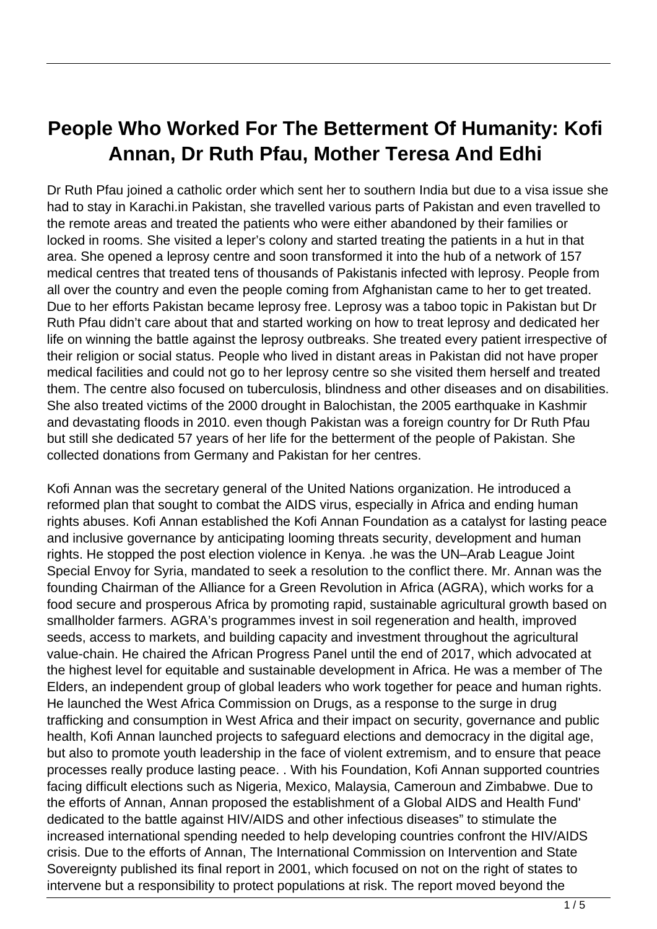## **People Who Worked For The Betterment Of Humanity: Kofi Annan, Dr Ruth Pfau, Mother Teresa And Edhi**

Dr Ruth Pfau joined a catholic order which sent her to southern India but due to a visa issue she had to stay in Karachi.in Pakistan, she travelled various parts of Pakistan and even travelled to the remote areas and treated the patients who were either abandoned by their families or locked in rooms. She visited a leper's colony and started treating the patients in a hut in that area. She opened a leprosy centre and soon transformed it into the hub of a network of 157 medical centres that treated tens of thousands of Pakistanis infected with leprosy. People from all over the country and even the people coming from Afghanistan came to her to get treated. Due to her efforts Pakistan became leprosy free. Leprosy was a taboo topic in Pakistan but Dr Ruth Pfau didn't care about that and started working on how to treat leprosy and dedicated her life on winning the battle against the leprosy outbreaks. She treated every patient irrespective of their religion or social status. People who lived in distant areas in Pakistan did not have proper medical facilities and could not go to her leprosy centre so she visited them herself and treated them. The centre also focused on tuberculosis, blindness and other diseases and on disabilities. She also treated victims of the 2000 drought in Balochistan, the 2005 earthquake in Kashmir and devastating floods in 2010. even though Pakistan was a foreign country for Dr Ruth Pfau but still she dedicated 57 years of her life for the betterment of the people of Pakistan. She collected donations from Germany and Pakistan for her centres.

Kofi Annan was the secretary general of the United Nations organization. He introduced a reformed plan that sought to combat the AIDS virus, especially in Africa and ending human rights abuses. Kofi Annan established the Kofi Annan Foundation as a catalyst for lasting peace and inclusive governance by anticipating looming threats security, development and human rights. He stopped the post election violence in Kenya. .he was the UN–Arab League Joint Special Envoy for Syria, mandated to seek a resolution to the conflict there. Mr. Annan was the founding Chairman of the Alliance for a Green Revolution in Africa (AGRA), which works for a food secure and prosperous Africa by promoting rapid, sustainable agricultural growth based on smallholder farmers. AGRA's programmes invest in soil regeneration and health, improved seeds, access to markets, and building capacity and investment throughout the agricultural value-chain. He chaired the African Progress Panel until the end of 2017, which advocated at the highest level for equitable and sustainable development in Africa. He was a member of The Elders, an independent group of global leaders who work together for peace and human rights. He launched the West Africa Commission on Drugs, as a response to the surge in drug trafficking and consumption in West Africa and their impact on security, governance and public health, Kofi Annan launched projects to safeguard elections and democracy in the digital age, but also to promote youth leadership in the face of violent extremism, and to ensure that peace processes really produce lasting peace. . With his Foundation, Kofi Annan supported countries facing difficult elections such as Nigeria, Mexico, Malaysia, Cameroun and Zimbabwe. Due to the efforts of Annan, Annan proposed the establishment of a Global AIDS and Health Fund' dedicated to the battle against HIV/AIDS and other infectious diseases" to stimulate the increased international spending needed to help developing countries confront the HIV/AIDS crisis. Due to the efforts of Annan, The International Commission on Intervention and State Sovereignty published its final report in 2001, which focused on not on the right of states to intervene but a responsibility to protect populations at risk. The report moved beyond the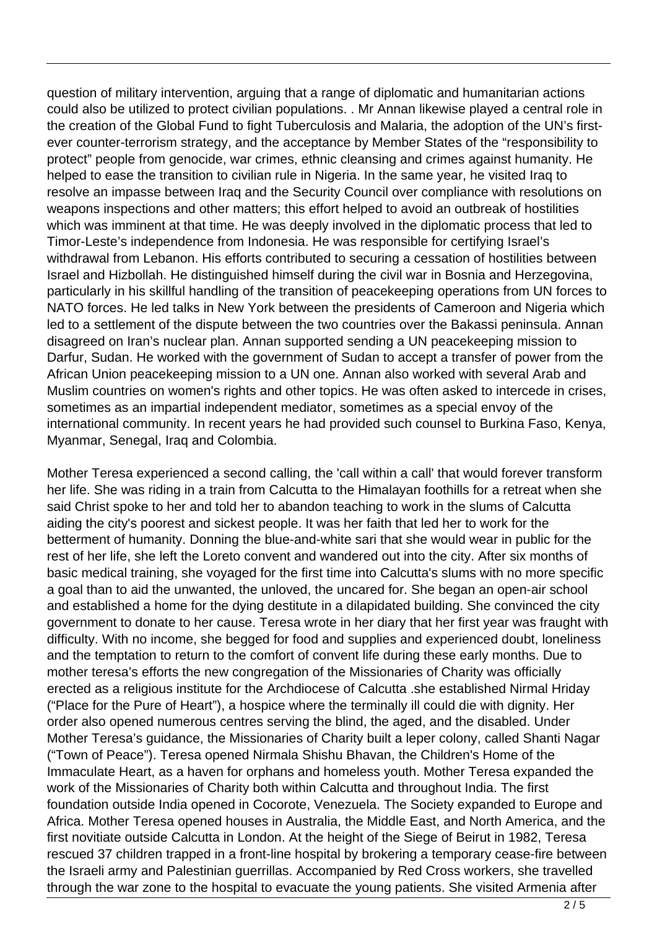question of military intervention, arguing that a range of diplomatic and humanitarian actions could also be utilized to protect civilian populations. . Mr Annan likewise played a central role in the creation of the Global Fund to fight Tuberculosis and Malaria, the adoption of the UN's firstever counter-terrorism strategy, and the acceptance by Member States of the "responsibility to protect" people from genocide, war crimes, ethnic cleansing and crimes against humanity. He helped to ease the transition to civilian rule in Nigeria. In the same year, he visited Iraq to resolve an impasse between Iraq and the Security Council over compliance with resolutions on weapons inspections and other matters; this effort helped to avoid an outbreak of hostilities which was imminent at that time. He was deeply involved in the diplomatic process that led to Timor-Leste's independence from Indonesia. He was responsible for certifying Israel's withdrawal from Lebanon. His efforts contributed to securing a cessation of hostilities between Israel and Hizbollah. He distinguished himself during the civil war in Bosnia and Herzegovina, particularly in his skillful handling of the transition of peacekeeping operations from UN forces to NATO forces. He led talks in New York between the presidents of Cameroon and Nigeria which led to a settlement of the dispute between the two countries over the Bakassi peninsula. Annan disagreed on Iran's nuclear plan. Annan supported sending a UN peacekeeping mission to Darfur, Sudan. He worked with the government of Sudan to accept a transfer of power from the African Union peacekeeping mission to a UN one. Annan also worked with several Arab and Muslim countries on women's rights and other topics. He was often asked to intercede in crises, sometimes as an impartial independent mediator, sometimes as a special envoy of the international community. In recent years he had provided such counsel to Burkina Faso, Kenya, Myanmar, Senegal, Iraq and Colombia.

Mother Teresa experienced a second calling, the 'call within a call' that would forever transform her life. She was riding in a train from Calcutta to the Himalayan foothills for a retreat when she said Christ spoke to her and told her to abandon teaching to work in the slums of Calcutta aiding the city's poorest and sickest people. It was her faith that led her to work for the betterment of humanity. Donning the blue-and-white sari that she would wear in public for the rest of her life, she left the Loreto convent and wandered out into the city. After six months of basic medical training, she voyaged for the first time into Calcutta's slums with no more specific a goal than to aid the unwanted, the unloved, the uncared for. She began an open-air school and established a home for the dying destitute in a dilapidated building. She convinced the city government to donate to her cause. Teresa wrote in her diary that her first year was fraught with difficulty. With no income, she begged for food and supplies and experienced doubt, loneliness and the temptation to return to the comfort of convent life during these early months. Due to mother teresa's efforts the new congregation of the Missionaries of Charity was officially erected as a religious institute for the Archdiocese of Calcutta .she established Nirmal Hriday ("Place for the Pure of Heart"), a hospice where the terminally ill could die with dignity. Her order also opened numerous centres serving the blind, the aged, and the disabled. Under Mother Teresa's guidance, the Missionaries of Charity built a leper colony, called Shanti Nagar ("Town of Peace"). Teresa opened Nirmala Shishu Bhavan, the Children's Home of the Immaculate Heart, as a haven for orphans and homeless youth. Mother Teresa expanded the work of the Missionaries of Charity both within Calcutta and throughout India. The first foundation outside India opened in Cocorote, Venezuela. The Society expanded to Europe and Africa. Mother Teresa opened houses in Australia, the Middle East, and North America, and the first novitiate outside Calcutta in London. At the height of the Siege of Beirut in 1982, Teresa rescued 37 children trapped in a front-line hospital by brokering a temporary cease-fire between the Israeli army and Palestinian guerrillas. Accompanied by Red Cross workers, she travelled through the war zone to the hospital to evacuate the young patients. She visited Armenia after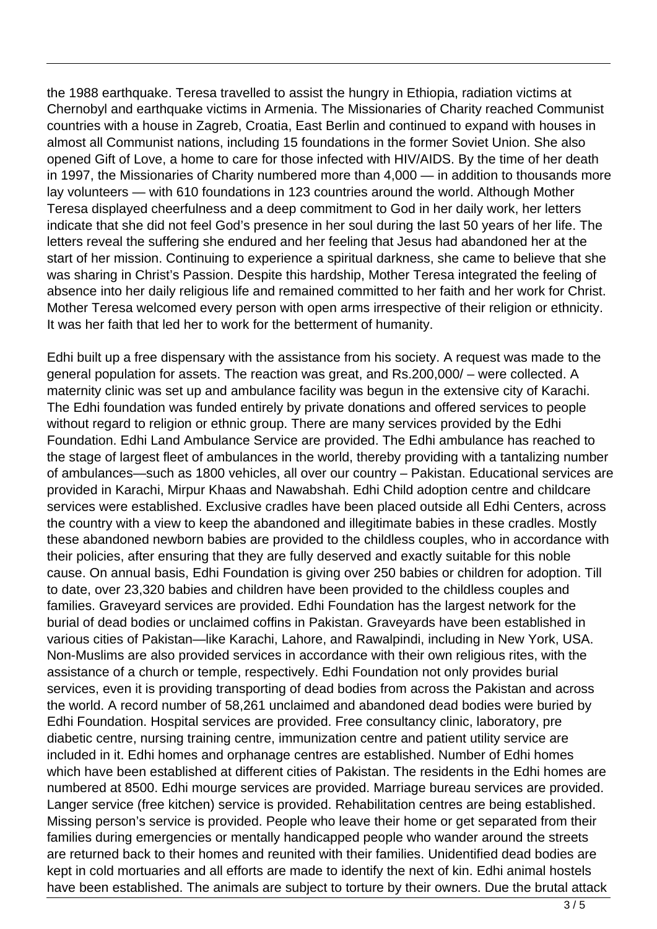the 1988 earthquake. Teresa travelled to assist the hungry in Ethiopia, radiation victims at Chernobyl and earthquake victims in Armenia. The Missionaries of Charity reached Communist countries with a house in Zagreb, Croatia, East Berlin and continued to expand with houses in almost all Communist nations, including 15 foundations in the former Soviet Union. She also opened Gift of Love, a home to care for those infected with HIV/AIDS. By the time of her death in 1997, the Missionaries of Charity numbered more than 4,000 — in addition to thousands more lay volunteers — with 610 foundations in 123 countries around the world. Although Mother Teresa displayed cheerfulness and a deep commitment to God in her daily work, her letters indicate that she did not feel God's presence in her soul during the last 50 years of her life. The letters reveal the suffering she endured and her feeling that Jesus had abandoned her at the start of her mission. Continuing to experience a spiritual darkness, she came to believe that she was sharing in Christ's Passion. Despite this hardship, Mother Teresa integrated the feeling of absence into her daily religious life and remained committed to her faith and her work for Christ. Mother Teresa welcomed every person with open arms irrespective of their religion or ethnicity. It was her faith that led her to work for the betterment of humanity.

Edhi built up a free dispensary with the assistance from his society. A request was made to the general population for assets. The reaction was great, and Rs.200,000/ – were collected. A maternity clinic was set up and ambulance facility was begun in the extensive city of Karachi. The Edhi foundation was funded entirely by private donations and offered services to people without regard to religion or ethnic group. There are many services provided by the Edhi Foundation. Edhi Land Ambulance Service are provided. The Edhi ambulance has reached to the stage of largest fleet of ambulances in the world, thereby providing with a tantalizing number of ambulances—such as 1800 vehicles, all over our country – Pakistan. Educational services are provided in Karachi, Mirpur Khaas and Nawabshah. Edhi Child adoption centre and childcare services were established. Exclusive cradles have been placed outside all Edhi Centers, across the country with a view to keep the abandoned and illegitimate babies in these cradles. Mostly these abandoned newborn babies are provided to the childless couples, who in accordance with their policies, after ensuring that they are fully deserved and exactly suitable for this noble cause. On annual basis, Edhi Foundation is giving over 250 babies or children for adoption. Till to date, over 23,320 babies and children have been provided to the childless couples and families. Graveyard services are provided. Edhi Foundation has the largest network for the burial of dead bodies or unclaimed coffins in Pakistan. Graveyards have been established in various cities of Pakistan—like Karachi, Lahore, and Rawalpindi, including in New York, USA. Non-Muslims are also provided services in accordance with their own religious rites, with the assistance of a church or temple, respectively. Edhi Foundation not only provides burial services, even it is providing transporting of dead bodies from across the Pakistan and across the world. A record number of 58,261 unclaimed and abandoned dead bodies were buried by Edhi Foundation. Hospital services are provided. Free consultancy clinic, laboratory, pre diabetic centre, nursing training centre, immunization centre and patient utility service are included in it. Edhi homes and orphanage centres are established. Number of Edhi homes which have been established at different cities of Pakistan. The residents in the Edhi homes are numbered at 8500. Edhi mourge services are provided. Marriage bureau services are provided. Langer service (free kitchen) service is provided. Rehabilitation centres are being established. Missing person's service is provided. People who leave their home or get separated from their families during emergencies or mentally handicapped people who wander around the streets are returned back to their homes and reunited with their families. Unidentified dead bodies are kept in cold mortuaries and all efforts are made to identify the next of kin. Edhi animal hostels have been established. The animals are subject to torture by their owners. Due the brutal attack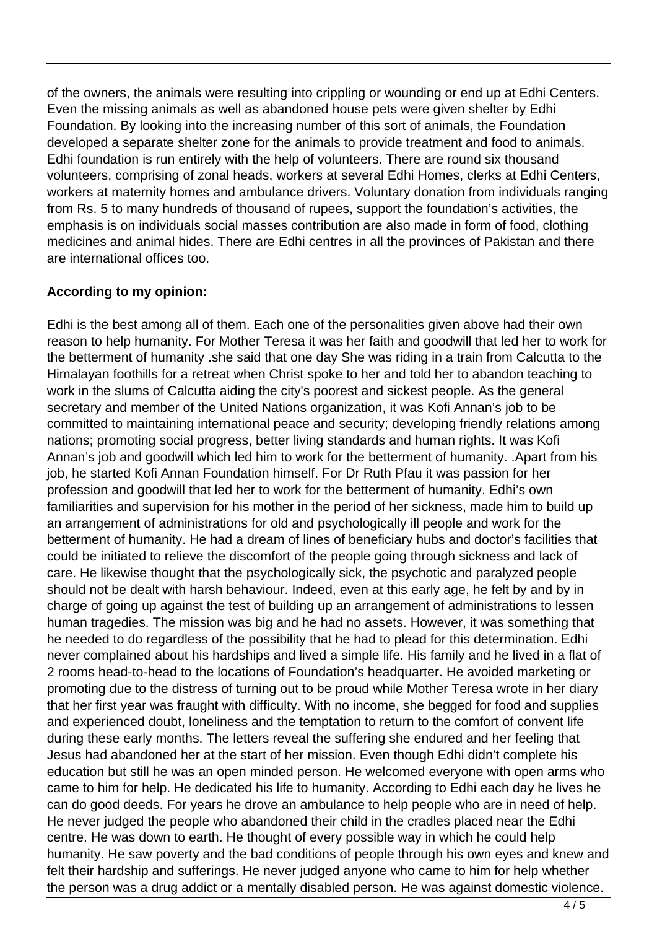of the owners, the animals were resulting into crippling or wounding or end up at Edhi Centers. Even the missing animals as well as abandoned house pets were given shelter by Edhi Foundation. By looking into the increasing number of this sort of animals, the Foundation developed a separate shelter zone for the animals to provide treatment and food to animals. Edhi foundation is run entirely with the help of volunteers. There are round six thousand volunteers, comprising of zonal heads, workers at several Edhi Homes, clerks at Edhi Centers, workers at maternity homes and ambulance drivers. Voluntary donation from individuals ranging from Rs. 5 to many hundreds of thousand of rupees, support the foundation's activities, the emphasis is on individuals social masses contribution are also made in form of food, clothing medicines and animal hides. There are Edhi centres in all the provinces of Pakistan and there are international offices too.

## **According to my opinion:**

Edhi is the best among all of them. Each one of the personalities given above had their own reason to help humanity. For Mother Teresa it was her faith and goodwill that led her to work for the betterment of humanity .she said that one day She was riding in a train from Calcutta to the Himalayan foothills for a retreat when Christ spoke to her and told her to abandon teaching to work in the slums of Calcutta aiding the city's poorest and sickest people. As the general secretary and member of the United Nations organization, it was Kofi Annan's job to be committed to maintaining international peace and security; developing friendly relations among nations; promoting social progress, better living standards and human rights. It was Kofi Annan's job and goodwill which led him to work for the betterment of humanity. .Apart from his job, he started Kofi Annan Foundation himself. For Dr Ruth Pfau it was passion for her profession and goodwill that led her to work for the betterment of humanity. Edhi's own familiarities and supervision for his mother in the period of her sickness, made him to build up an arrangement of administrations for old and psychologically ill people and work for the betterment of humanity. He had a dream of lines of beneficiary hubs and doctor's facilities that could be initiated to relieve the discomfort of the people going through sickness and lack of care. He likewise thought that the psychologically sick, the psychotic and paralyzed people should not be dealt with harsh behaviour. Indeed, even at this early age, he felt by and by in charge of going up against the test of building up an arrangement of administrations to lessen human tragedies. The mission was big and he had no assets. However, it was something that he needed to do regardless of the possibility that he had to plead for this determination. Edhi never complained about his hardships and lived a simple life. His family and he lived in a flat of 2 rooms head-to-head to the locations of Foundation's headquarter. He avoided marketing or promoting due to the distress of turning out to be proud while Mother Teresa wrote in her diary that her first year was fraught with difficulty. With no income, she begged for food and supplies and experienced doubt, loneliness and the temptation to return to the comfort of convent life during these early months. The letters reveal the suffering she endured and her feeling that Jesus had abandoned her at the start of her mission. Even though Edhi didn't complete his education but still he was an open minded person. He welcomed everyone with open arms who came to him for help. He dedicated his life to humanity. According to Edhi each day he lives he can do good deeds. For years he drove an ambulance to help people who are in need of help. He never judged the people who abandoned their child in the cradles placed near the Edhi centre. He was down to earth. He thought of every possible way in which he could help humanity. He saw poverty and the bad conditions of people through his own eyes and knew and felt their hardship and sufferings. He never judged anyone who came to him for help whether the person was a drug addict or a mentally disabled person. He was against domestic violence.